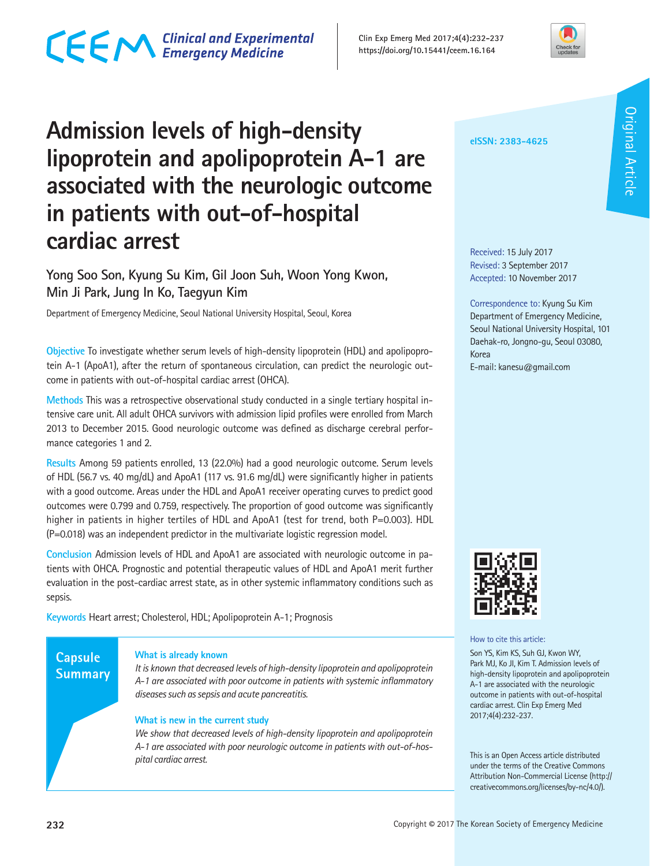# CECM Clinical and Experimental



### **Admission levels of high-density lipoprotein and apolipoprotein A-1 are associated with the neurologic outcome in patients with out-of-hospital cardiac arrest**

#### **Yong Soo Son, Kyung Su Kim, Gil Joon Suh, Woon Yong Kwon, Min Ji Park, Jung In Ko, Taegyun Kim**

Department of Emergency Medicine, Seoul National University Hospital, Seoul, Korea

**Objective** To investigate whether serum levels of high-density lipoprotein (HDL) and apolipoprotein A-1 (ApoA1), after the return of spontaneous circulation, can predict the neurologic outcome in patients with out-of-hospital cardiac arrest (OHCA).

**Methods** This was a retrospective observational study conducted in a single tertiary hospital intensive care unit. All adult OHCA survivors with admission lipid profiles were enrolled from March 2013 to December 2015. Good neurologic outcome was defined as discharge cerebral performance categories 1 and 2.

**Results** Among 59 patients enrolled, 13 (22.0%) had a good neurologic outcome. Serum levels of HDL (56.7 vs. 40 mg/dL) and ApoA1 (117 vs. 91.6 mg/dL) were significantly higher in patients with a good outcome. Areas under the HDL and ApoA1 receiver operating curves to predict good outcomes were 0.799 and 0.759, respectively. The proportion of good outcome was significantly higher in patients in higher tertiles of HDL and ApoA1 (test for trend, both P=0.003). HDL (P=0.018) was an independent predictor in the multivariate logistic regression model.

**Conclusion** Admission levels of HDL and ApoA1 are associated with neurologic outcome in patients with OHCA. Prognostic and potential therapeutic values of HDL and ApoA1 merit further evaluation in the post-cardiac arrest state, as in other systemic inflammatory conditions such as sepsis.

**Keywords** Heart arrest; Cholesterol, HDL; Apolipoprotein A-1; Prognosis

#### **Capsule Summary**

#### **What is already known**

*It is known that decreased levels of high-density lipoprotein and apolipoprotein A-1 are associated with poor outcome in patients with systemic inflammatory diseases such as sepsis and acute pancreatitis.*

#### **What is new in the current study**

*We show that decreased levels of high-density lipoprotein and apolipoprotein A-1 are associated with poor neurologic outcome in patients with out-of-hospital cardiac arrest.*

#### **eISSN: 2383-4625**

Received: 15 July 2017 Revised: 3 September 2017 Accepted: 10 November 2017

Correspondence to: Kyung Su Kim Department of Emergency Medicine, Seoul National University Hospital, 101 Daehak-ro, Jongno-gu, Seoul 03080, Korea

E-mail: kanesu@gmail.com



#### How to cite this article:

Son YS, Kim KS, Suh GJ, Kwon WY, Park MJ, Ko JI, Kim T. Admission levels of high-density lipoprotein and apolipoprotein A-1 are associated with the neurologic outcome in patients with out-of-hospital cardiac arrest. Clin Exp Emerg Med 2017;4(4):232-237.

This is an Open Access article distributed under the terms of the Creative Commons Attribution Non-Commercial License (http:// creativecommons.org/licenses/by-nc/4.0/).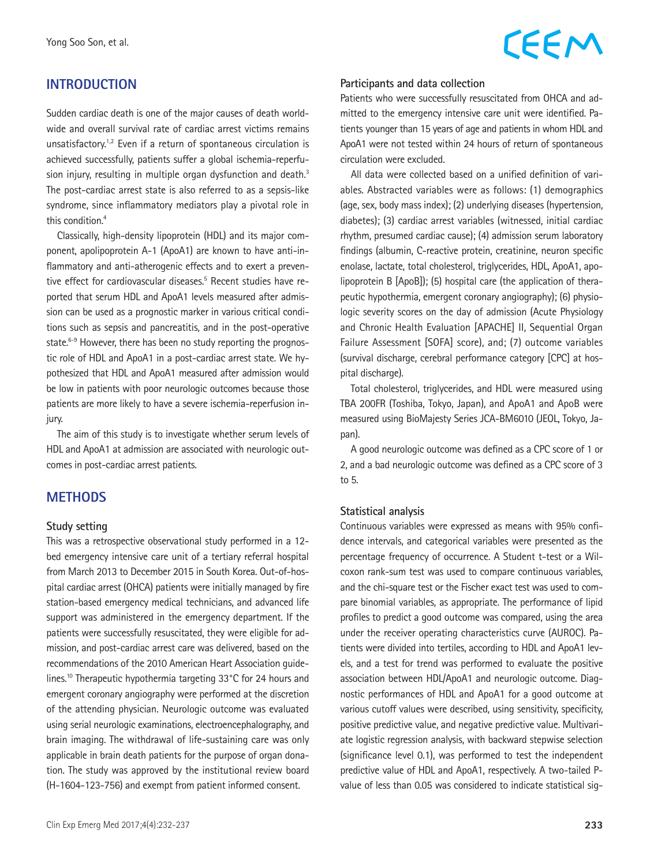#### **INTRODUCTION**

Sudden cardiac death is one of the major causes of death worldwide and overall survival rate of cardiac arrest victims remains unsatisfactory.<sup>1,2</sup> Even if a return of spontaneous circulation is achieved successfully, patients suffer a global ischemia-reperfusion injury, resulting in multiple organ dysfunction and death.<sup>3</sup> The post-cardiac arrest state is also referred to as a sepsis-like syndrome, since inflammatory mediators play a pivotal role in this condition.<sup>4</sup>

Classically, high-density lipoprotein (HDL) and its major component, apolipoprotein A-1 (ApoA1) are known to have anti-inflammatory and anti-atherogenic effects and to exert a preventive effect for cardiovascular diseases.<sup>5</sup> Recent studies have reported that serum HDL and ApoA1 levels measured after admission can be used as a prognostic marker in various critical conditions such as sepsis and pancreatitis, and in the post-operative state.<sup>6-9</sup> However, there has been no study reporting the prognostic role of HDL and ApoA1 in a post-cardiac arrest state. We hypothesized that HDL and ApoA1 measured after admission would be low in patients with poor neurologic outcomes because those patients are more likely to have a severe ischemia-reperfusion injury.

The aim of this study is to investigate whether serum levels of HDL and ApoA1 at admission are associated with neurologic outcomes in post-cardiac arrest patients.

#### **METHODS**

#### **Study setting**

This was a retrospective observational study performed in a 12 bed emergency intensive care unit of a tertiary referral hospital from March 2013 to December 2015 in South Korea. Out-of-hospital cardiac arrest (OHCA) patients were initially managed by fire station-based emergency medical technicians, and advanced life support was administered in the emergency department. If the patients were successfully resuscitated, they were eligible for admission, and post-cardiac arrest care was delivered, based on the recommendations of the 2010 American Heart Association guidelines.<sup>10</sup> Therapeutic hypothermia targeting 33°C for 24 hours and emergent coronary angiography were performed at the discretion of the attending physician. Neurologic outcome was evaluated using serial neurologic examinations, electroencephalography, and brain imaging. The withdrawal of life-sustaining care was only applicable in brain death patients for the purpose of organ donation. The study was approved by the institutional review board (H-1604-123-756) and exempt from patient informed consent.

# CEEM

#### **Participants and data collection**

Patients who were successfully resuscitated from OHCA and admitted to the emergency intensive care unit were identified. Patients younger than 15 years of age and patients in whom HDL and ApoA1 were not tested within 24 hours of return of spontaneous circulation were excluded.

All data were collected based on a unified definition of variables. Abstracted variables were as follows: (1) demographics (age, sex, body mass index); (2) underlying diseases (hypertension, diabetes); (3) cardiac arrest variables (witnessed, initial cardiac rhythm, presumed cardiac cause); (4) admission serum laboratory findings (albumin, C-reactive protein, creatinine, neuron specific enolase, lactate, total cholesterol, triglycerides, HDL, ApoA1, apolipoprotein B [ApoB]); (5) hospital care (the application of therapeutic hypothermia, emergent coronary angiography); (6) physiologic severity scores on the day of admission (Acute Physiology and Chronic Health Evaluation [APACHE] II, Sequential Organ Failure Assessment [SOFA] score), and; (7) outcome variables (survival discharge, cerebral performance category [CPC] at hospital discharge).

Total cholesterol, triglycerides, and HDL were measured using TBA 200FR (Toshiba, Tokyo, Japan), and ApoA1 and ApoB were measured using BioMajesty Series JCA-BM6010 (JEOL, Tokyo, Japan).

A good neurologic outcome was defined as a CPC score of 1 or 2, and a bad neurologic outcome was defined as a CPC score of 3 to 5.

#### **Statistical analysis**

Continuous variables were expressed as means with 95% confidence intervals, and categorical variables were presented as the percentage frequency of occurrence. A Student t-test or a Wilcoxon rank-sum test was used to compare continuous variables, and the chi-square test or the Fischer exact test was used to compare binomial variables, as appropriate. The performance of lipid profiles to predict a good outcome was compared, using the area under the receiver operating characteristics curve (AUROC). Patients were divided into tertiles, according to HDL and ApoA1 levels, and a test for trend was performed to evaluate the positive association between HDL/ApoA1 and neurologic outcome. Diagnostic performances of HDL and ApoA1 for a good outcome at various cutoff values were described, using sensitivity, specificity, positive predictive value, and negative predictive value. Multivariate logistic regression analysis, with backward stepwise selection (significance level 0.1), was performed to test the independent predictive value of HDL and ApoA1, respectively. A two-tailed Pvalue of less than 0.05 was considered to indicate statistical sig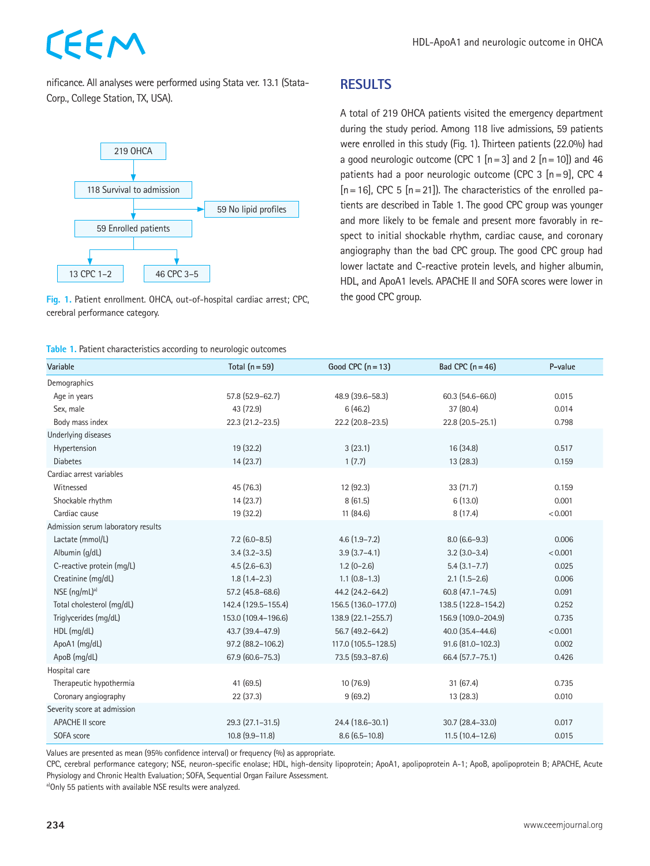nificance. All analyses were performed using Stata ver. 13.1 (Stata-Corp., College Station, TX, USA).

CEEM





#### **Table 1.** Patient characteristics according to neurologic outcomes

#### **RESULTS**

A total of 219 OHCA patients visited the emergency department during the study period. Among 118 live admissions, 59 patients were enrolled in this study (Fig. 1). Thirteen patients (22.0%) had a good neurologic outcome (CPC 1  $[n=3]$  and 2  $[n=10]$ ) and 46 patients had a poor neurologic outcome (CPC 3 [n=9], CPC 4  $[n=16]$ , CPC 5  $[n=21]$ ). The characteristics of the enrolled patients are described in Table 1. The good CPC group was younger and more likely to be female and present more favorably in respect to initial shockable rhythm, cardiac cause, and coronary angiography than the bad CPC group. The good CPC group had lower lactate and C-reactive protein levels, and higher albumin, HDL, and ApoA1 levels. APACHE II and SOFA scores were lower in the good CPC group.

| Variable                           | Total $(n = 59)$      | Good CPC $(n = 13)$ | Bad CPC $(n = 46)$    | P-value |
|------------------------------------|-----------------------|---------------------|-----------------------|---------|
| Demographics                       |                       |                     |                       |         |
| Age in years                       | 57.8 (52.9-62.7)      | 48.9 (39.6-58.3)    | $60.3(54.6 - 66.0)$   | 0.015   |
| Sex, male                          | 43 (72.9)             | 6(46.2)             | 37 (80.4)             |         |
| Body mass index                    | 22.3 (21.2-23.5)      | 22.2 (20.8-23.5)    | 22.8 (20.5-25.1)      | 0.798   |
| Underlying diseases                |                       |                     |                       |         |
| Hypertension                       | 19 (32.2)             | 3(23.1)             | 16 (34.8)             | 0.517   |
| <b>Diabetes</b>                    | 14(23.7)              | 1(7.7)              | 13 (28.3)             | 0.159   |
| Cardiac arrest variables           |                       |                     |                       |         |
| Witnessed                          | 45 (76.3)             | 12 (92.3)           | 33(71.7)              | 0.159   |
| Shockable rhythm                   | 14(23.7)              | 8(61.5)             | 6(13.0)               | 0.001   |
| Cardiac cause                      | 19 (32.2)             | 11 (84.6)           | 8(17.4)               | < 0.001 |
| Admission serum laboratory results |                       |                     |                       |         |
| Lactate (mmol/L)                   | $7.2$ (6.0-8.5)       | $4.6(1.9 - 7.2)$    | $8.0(6.6-9.3)$        | 0.006   |
| Albumin (g/dL)                     | $3.4(3.2 - 3.5)$      | $3.9(3.7-4.1)$      | $3.2$ ( $3.0 - 3.4$ ) | < 0.001 |
| C-reactive protein (mg/L)          | $4.5(2.6-6.3)$        | $1.2(0-2.6)$        | $5.4(3.1 - 7.7)$      | 0.025   |
| Creatinine (mg/dL)                 | $1.8(1.4-2.3)$        | $1.1$ $(0.8-1.3)$   | $2.1(1.5-2.6)$        | 0.006   |
| $NSE$ (ng/mL) <sup>a)</sup>        | 57.2 (45.8-68.6)      | 44.2 (24.2-64.2)    | $60.8(47.1 - 74.5)$   | 0.091   |
| Total cholesterol (mg/dL)          | 142.4 (129.5-155.4)   | 156.5 (136.0-177.0) | 138.5 (122.8-154.2)   | 0.252   |
| Triglycerides (mg/dL)              | 153.0 (109.4-196.6)   | 138.9 (22.1-255.7)  | 156.9 (109.0-204.9)   | 0.735   |
| HDL (mg/dL)                        | 43.7 (39.4-47.9)      | 56.7 (49.2-64.2)    | 40.0 (35.4-44.6)      |         |
| ApoA1 (mg/dL)                      | 97.2 (88.2-106.2)     | 117.0 (105.5-128.5) | 91.6 (81.0-102.3)     | 0.002   |
| ApoB (mg/dL)                       | 67.9 (60.6-75.3)      | 73.5 (59.3-87.6)    | 66.4 (57.7-75.1)      | 0.426   |
| Hospital care                      |                       |                     |                       |         |
| Therapeutic hypothermia            | 41 (69.5)             | 10(76.9)            | 31(67.4)              | 0.735   |
| Coronary angiography               | 22 (37.3)             | 9(69.2)             | 13 (28.3)             | 0.010   |
| Severity score at admission        |                       |                     |                       |         |
| <b>APACHE II score</b>             | 29.3 (27.1-31.5)      | 24.4 (18.6-30.1)    | 30.7 (28.4-33.0)      | 0.017   |
| SOFA score                         | $10.8$ $(9.9 - 11.8)$ | $8.6(6.5-10.8)$     | $11.5(10.4-12.6)$     | 0.015   |

Values are presented as mean (95% confidence interval) or frequency (%) as appropriate.

CPC, cerebral performance category; NSE, neuron-specific enolase; HDL, high-density lipoprotein; ApoA1, apolipoprotein A-1; ApoB, apolipoprotein B; APACHE, Acute Physiology and Chronic Health Evaluation; SOFA, Sequential Organ Failure Assessment.

a)Only 55 patients with available NSE results were analyzed.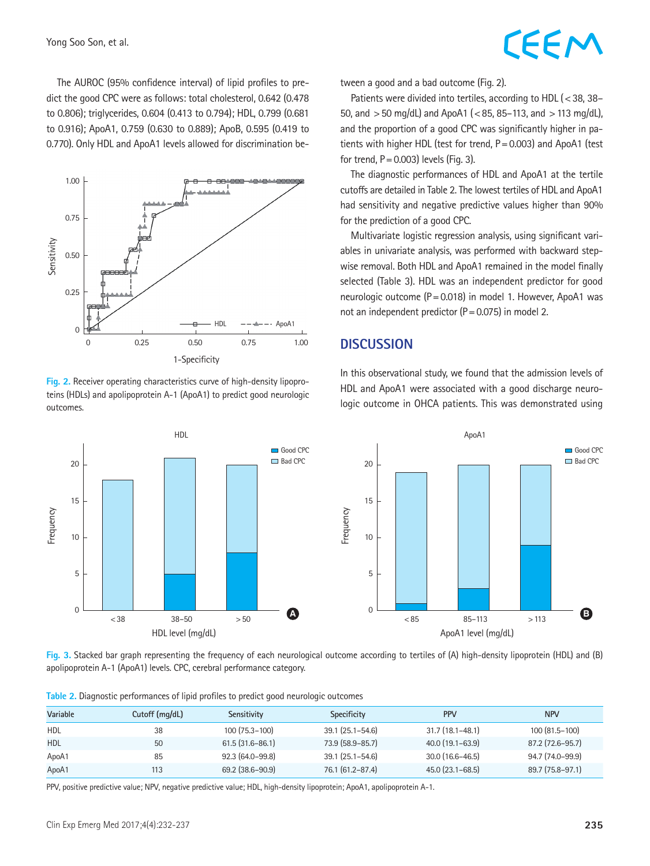The AUROC (95% confidence interval) of lipid profiles to predict the good CPC were as follows: total cholesterol, 0.642 (0.478 to 0.806); triglycerides, 0.604 (0.413 to 0.794); HDL, 0.799 (0.681 to 0.916); ApoA1, 0.759 (0.630 to 0.889); ApoB, 0.595 (0.419 to 0.770). Only HDL and ApoA1 levels allowed for discrimination be-



**Fig. 2.** Receiver operating characteristics curve of high-density lipoproteins (HDLs) and apolipoprotein A-1 (ApoA1) to predict good neurologic outcomes.



# EEM

tween a good and a bad outcome (Fig. 2).

Patients were divided into tertiles, according to HDL (<38, 38-50, and  $>$  50 mg/dL) and ApoA1 (<85, 85–113, and  $>$  113 mg/dL), and the proportion of a good CPC was significantly higher in patients with higher HDL (test for trend, P=0.003) and ApoA1 (test for trend,  $P = 0.003$ ) levels (Fig. 3).

The diagnostic performances of HDL and ApoA1 at the tertile cutoffs are detailed in Table 2. The lowest tertiles of HDL and ApoA1 had sensitivity and negative predictive values higher than 90% for the prediction of a good CPC.

Multivariate logistic regression analysis, using significant variables in univariate analysis, was performed with backward stepwise removal. Both HDL and ApoA1 remained in the model finally selected (Table 3). HDL was an independent predictor for good neurologic outcome (P=0.018) in model 1. However, ApoA1 was not an independent predictor (P=0.075) in model 2.

#### **DISCUSSION**

In this observational study, we found that the admission levels of HDL and ApoA1 were associated with a good discharge neurologic outcome in OHCA patients. This was demonstrated using



**Fig. 3.** Stacked bar graph representing the frequency of each neurological outcome according to tertiles of (A) high-density lipoprotein (HDL) and (B) apolipoprotein A-1 (ApoA1) levels. CPC, cerebral performance category.

|  |  | Table 2. Diagnostic performances of lipid profiles to predict good neurologic outcomes |  |  |  |  |  |  |
|--|--|----------------------------------------------------------------------------------------|--|--|--|--|--|--|
|--|--|----------------------------------------------------------------------------------------|--|--|--|--|--|--|

| Variable   | Cutoff (mg/dL) | Sensitivity         | Specificity         | <b>PPV</b>          | <b>NPV</b>       |
|------------|----------------|---------------------|---------------------|---------------------|------------------|
| HDL        | 38             | $100(75.3-100)$     | $39.1(25.1 - 54.6)$ | $31.7(18.1 - 48.1)$ | 100 (81.5–100)   |
| <b>HDL</b> | 50             | $61.5(31.6 - 86.1)$ | 73.9 (58.9-85.7)    | 40.0 (19.1–63.9)    | 87.2 (72.6–95.7) |
| ApoA1      | 85             | $92.3(64.0-99.8)$   | $39.1(25.1 - 54.6)$ | $30.0$ (16.6-46.5)  | 94.7 (74.0-99.9) |
| ApoA1      | 113            | 69.2 (38.6–90.9)    | 76.1 (61.2-87.4)    | $45.0(23.1 - 68.5)$ | 89.7 (75.8–97.1) |

PPV, positive predictive value; NPV, negative predictive value; HDL, high-density lipoprotein; ApoA1, apolipoprotein A-1.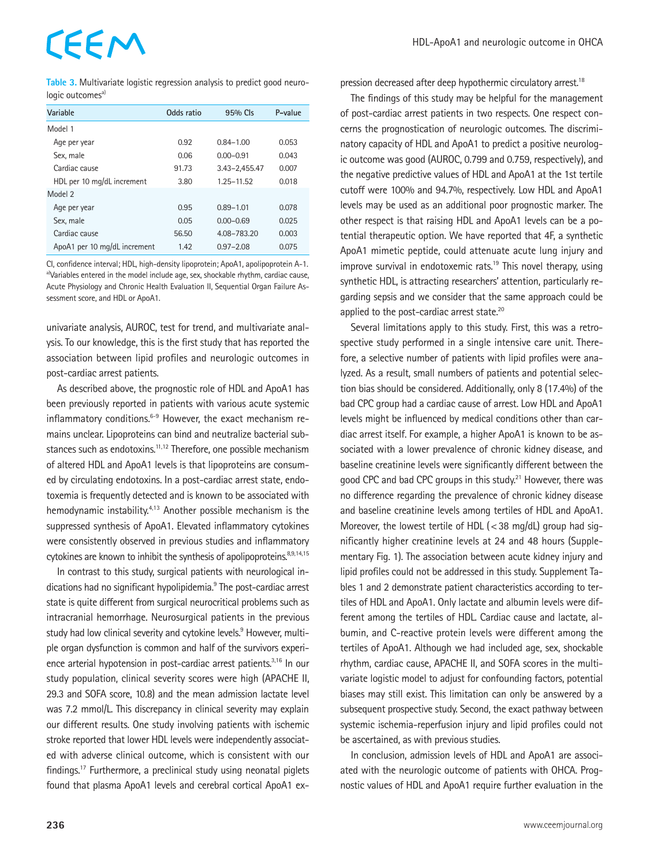# CEEM

**Table 3.** Multivariate logistic regression analysis to predict good neurologic outcomes<sup>a)</sup>

| Variable                     | Odds ratio | 95% Cls       | P-value |
|------------------------------|------------|---------------|---------|
| Model 1                      |            |               |         |
| Age per year                 | 0.92       | $0.84 - 1.00$ | 0.053   |
| Sex, male                    | 0.06       | $0.00 - 0.91$ | 0.043   |
| Cardiac cause                | 91.73      | 3.43-2.455.47 | 0.007   |
| HDL per 10 mg/dL increment   | 3.80       | 1.25-11.52    | 0.018   |
| Model 2                      |            |               |         |
| Age per year                 | 0.95       | $0.89 - 1.01$ | 0.078   |
| Sex, male                    | 0.05       | $0.00 - 0.69$ | 0.025   |
| Cardiac cause                | 56.50      | 4.08-783.20   | 0.003   |
| ApoA1 per 10 mg/dL increment | 1.42       | $0.97 - 2.08$ | 0.075   |
|                              |            |               |         |

CI, confidence interval; HDL, high-density lipoprotein; ApoA1, apolipoprotein A-1. a)Variables entered in the model include age, sex, shockable rhythm, cardiac cause, Acute Physiology and Chronic Health Evaluation II, Sequential Organ Failure Assessment score, and HDL or ApoA1.

univariate analysis, AUROC, test for trend, and multivariate analysis. To our knowledge, this is the first study that has reported the association between lipid profiles and neurologic outcomes in post-cardiac arrest patients.

As described above, the prognostic role of HDL and ApoA1 has been previously reported in patients with various acute systemic inflammatory conditions. $6-9$  However, the exact mechanism remains unclear. Lipoproteins can bind and neutralize bacterial substances such as endotoxins.<sup>11,12</sup> Therefore, one possible mechanism of altered HDL and ApoA1 levels is that lipoproteins are consumed by circulating endotoxins. In a post-cardiac arrest state, endotoxemia is frequently detected and is known to be associated with hemodynamic instability.<sup>4,13</sup> Another possible mechanism is the suppressed synthesis of ApoA1. Elevated inflammatory cytokines were consistently observed in previous studies and inflammatory cytokines are known to inhibit the synthesis of apolipoproteins.<sup>8,9,14,15</sup>

In contrast to this study, surgical patients with neurological indications had no significant hypolipidemia.<sup>9</sup> The post-cardiac arrest state is quite different from surgical neurocritical problems such as intracranial hemorrhage. Neurosurgical patients in the previous study had low clinical severity and cytokine levels.<sup>9</sup> However, multiple organ dysfunction is common and half of the survivors experience arterial hypotension in post-cardiac arrest patients.<sup>3,16</sup> In our study population, clinical severity scores were high (APACHE II, 29.3 and SOFA score, 10.8) and the mean admission lactate level was 7.2 mmol/L. This discrepancy in clinical severity may explain our different results. One study involving patients with ischemic stroke reported that lower HDL levels were independently associated with adverse clinical outcome, which is consistent with our findings.<sup>17</sup> Furthermore, a preclinical study using neonatal piglets found that plasma ApoA1 levels and cerebral cortical ApoA1 expression decreased after deep hypothermic circulatory arrest.<sup>18</sup>

The findings of this study may be helpful for the management of post-cardiac arrest patients in two respects. One respect concerns the prognostication of neurologic outcomes. The discriminatory capacity of HDL and ApoA1 to predict a positive neurologic outcome was good (AUROC, 0.799 and 0.759, respectively), and the negative predictive values of HDL and ApoA1 at the 1st tertile cutoff were 100% and 94.7%, respectively. Low HDL and ApoA1 levels may be used as an additional poor prognostic marker. The other respect is that raising HDL and ApoA1 levels can be a potential therapeutic option. We have reported that 4F, a synthetic ApoA1 mimetic peptide, could attenuate acute lung injury and improve survival in endotoxemic rats.<sup>19</sup> This novel therapy, using synthetic HDL, is attracting researchers' attention, particularly regarding sepsis and we consider that the same approach could be applied to the post-cardiac arrest state.<sup>20</sup>

Several limitations apply to this study. First, this was a retrospective study performed in a single intensive care unit. Therefore, a selective number of patients with lipid profiles were analyzed. As a result, small numbers of patients and potential selection bias should be considered. Additionally, only 8 (17.4%) of the bad CPC group had a cardiac cause of arrest. Low HDL and ApoA1 levels might be influenced by medical conditions other than cardiac arrest itself. For example, a higher ApoA1 is known to be associated with a lower prevalence of chronic kidney disease, and baseline creatinine levels were significantly different between the good CPC and bad CPC groups in this study.<sup>21</sup> However, there was no difference regarding the prevalence of chronic kidney disease and baseline creatinine levels among tertiles of HDL and ApoA1. Moreover, the lowest tertile of HDL (<38 mg/dL) group had significantly higher creatinine levels at 24 and 48 hours (Supplementary Fig. 1). The association between acute kidney injury and lipid profiles could not be addressed in this study. Supplement Tables 1 and 2 demonstrate patient characteristics according to tertiles of HDL and ApoA1. Only lactate and albumin levels were different among the tertiles of HDL. Cardiac cause and lactate, albumin, and C-reactive protein levels were different among the tertiles of ApoA1. Although we had included age, sex, shockable rhythm, cardiac cause, APACHE II, and SOFA scores in the multivariate logistic model to adjust for confounding factors, potential biases may still exist. This limitation can only be answered by a subsequent prospective study. Second, the exact pathway between systemic ischemia-reperfusion injury and lipid profiles could not be ascertained, as with previous studies.

In conclusion, admission levels of HDL and ApoA1 are associated with the neurologic outcome of patients with OHCA. Prognostic values of HDL and ApoA1 require further evaluation in the